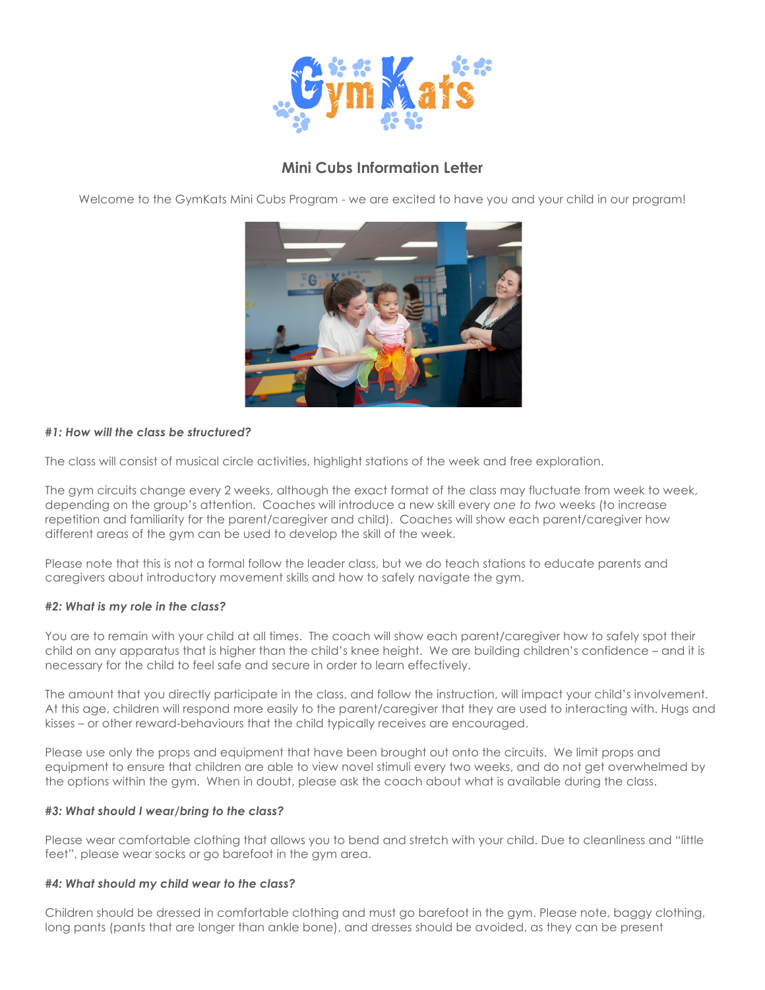

# **Mini Cubs Information Letter**

Welcome to the GymKats Mini Cubs Program - we are excited to have you and your child in our program!



## *#1: How will the class be structured?*

The class will consist of musical circle activities, highlight stations of the week and free exploration.

The gym circuits change every 2 weeks, although the exact format of the class may fluctuate from week to week, depending on the group's attention. Coaches will introduce a new skill every *one to two* weeks (to increase repetition and familiarity for the parent/caregiver and child). Coaches will show each parent/caregiver how different areas of the gym can be used to develop the skill of the week.

Please note that this is not a formal follow the leader class, but we do teach stations to educate parents and caregivers about introductory movement skills and how to safely navigate the gym.

#### *#2: What is my role in the class?*

You are to remain with your child at all times. The coach will show each parent/caregiver how to safely spot their child on any apparatus that is higher than the child's knee height. We are building children's confidence – and it is necessary for the child to feel safe and secure in order to learn effectively.

The amount that you directly participate in the class, and follow the instruction, will impact your child's involvement. At this age, children will respond more easily to the parent/caregiver that they are used to interacting with. Hugs and kisses – or other reward-behaviours that the child typically receives are encouraged.

Please use only the props and equipment that have been brought out onto the circuits. We limit props and equipment to ensure that children are able to view novel stimuli every two weeks, and do not get overwhelmed by the options within the gym. When in doubt, please ask the coach about what is available during the class.

#### *#3: What should I wear/bring to the class?*

Please wear comfortable clothing that allows you to bend and stretch with your child. Due to cleanliness and "little feet", please wear socks or go barefoot in the gym area.

#### *#4: What should my child wear to the class?*

Children should be dressed in comfortable clothing and must go barefoot in the gym. Please note, baggy clothing, long pants (pants that are longer than ankle bone), and dresses should be avoided, as they can be present